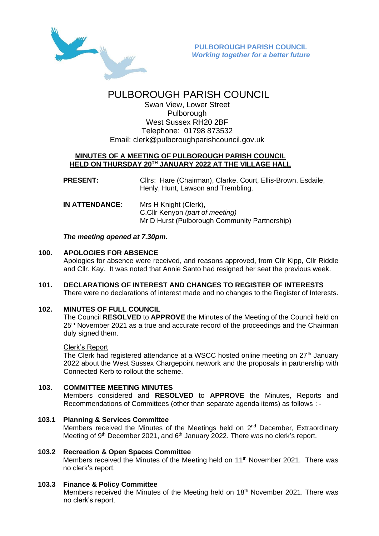

# PULBOROUGH PARISH COUNCIL

Swan View, Lower Street Pulborough West Sussex RH20 2BF Telephone: 01798 873532 Email: [clerk@pulboroughparishcouncil.gov.uk](mailto:clerk@pulboroughparishcouncil.gov.uk)

## **MINUTES OF A MEETING OF PULBOROUGH PARISH COUNCIL HELD ON THURSDAY 20TH JANUARY 2022 AT THE VILLAGE HALL**

**PRESENT:** Cllrs: Hare (Chairman), Clarke, Court, Ellis-Brown, Esdaile, Henly, Hunt, Lawson and Trembling.

**IN ATTENDANCE**: Mrs H Knight (Clerk), C.Cllr Kenyon *(part of meeting)* Mr D Hurst (Pulborough Community Partnership)

# *The meeting opened at 7.30pm.*

# **100. APOLOGIES FOR ABSENCE**

Apologies for absence were received, and reasons approved, from Cllr Kipp, Cllr Riddle and Cllr. Kay. It was noted that Annie Santo had resigned her seat the previous week.

**101. DECLARATIONS OF INTEREST AND CHANGES TO REGISTER OF INTERESTS** There were no declarations of interest made and no changes to the Register of Interests.

## **102. MINUTES OF FULL COUNCIL**

The Council **RESOLVED** to **APPROVE** the Minutes of the Meeting of the Council held on  $25<sup>th</sup>$  November 2021 as a true and accurate record of the proceedings and the Chairman duly signed them.

# Clerk's Report

The Clerk had registered attendance at a WSCC hosted online meeting on  $27<sup>th</sup>$  January 2022 about the West Sussex Chargepoint network and the proposals in partnership with Connected Kerb to rollout the scheme.

## **103. COMMITTEE MEETING MINUTES**

Members considered and **RESOLVED** to **APPROVE** the Minutes, Reports and Recommendations of Committees (other than separate agenda items) as follows : -

#### **103.1 Planning & Services Committee** Members received the Minutes of the Meetings held on 2<sup>nd</sup> December, Extraordinary Meeting of 9<sup>th</sup> December 2021, and 6<sup>th</sup> January 2022. There was no clerk's report.

## **103.2 Recreation & Open Spaces Committee**

Members received the Minutes of the Meeting held on 11<sup>th</sup> November 2021. There was no clerk's report.

## **103.3 Finance & Policy Committee**

Members received the Minutes of the Meeting held on 18<sup>th</sup> November 2021. There was no clerk's report.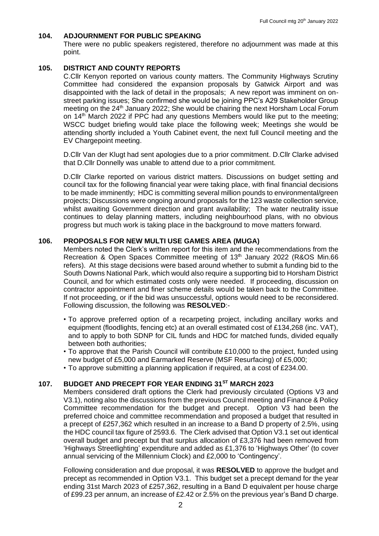#### **104. ADJOURNMENT FOR PUBLIC SPEAKING**

There were no public speakers registered, therefore no adjournment was made at this point.

#### **105. DISTRICT AND COUNTY REPORTS**

C.Cllr Kenyon reported on various county matters. The Community Highways Scrutiny Committee had considered the expansion proposals by Gatwick Airport and was disappointed with the lack of detail in the proposals; A new report was imminent on onstreet parking issues; She confirmed she would be joining PPC's A29 Stakeholder Group meeting on the 24th January 2022; She would be chairing the next Horsham Local Forum on 14<sup>th</sup> March 2022 if PPC had any questions Members would like put to the meeting; WSCC budget briefing would take place the following week; Meetings she would be attending shortly included a Youth Cabinet event, the next full Council meeting and the EV Chargepoint meeting.

D.Cllr Van der Klugt had sent apologies due to a prior commitment. D.Cllr Clarke advised that D.Cllr Donnelly was unable to attend due to a prior commitment.

D.Cllr Clarke reported on various district matters. Discussions on budget setting and council tax for the following financial year were taking place, with final financial decisions to be made imminently; HDC is committing several million pounds to environmental/green projects; Discussions were ongoing around proposals for the 123 waste collection service, whilst awaiting Government direction and grant availability; The water neutrality issue continues to delay planning matters, including neighbourhood plans, with no obvious progress but much work is taking place in the background to move matters forward.

#### **106. PROPOSALS FOR NEW MULTI USE GAMES AREA (MUGA)**

Members noted the Clerk's written report for this item and the recommendations from the Recreation & Open Spaces Committee meeting of 13<sup>th</sup> January 2022 (R&OS Min.66 refers). At this stage decisions were based around whether to submit a funding bid to the South Downs National Park, which would also require a supporting bid to Horsham District Council, and for which estimated costs only were needed. If proceeding, discussion on contractor appointment and finer scheme details would be taken back to the Committee. If not proceeding, or if the bid was unsuccessful, options would need to be reconsidered. Following discussion, the following was **RESOLVED**:-

- To approve preferred option of a recarpeting project, including ancillary works and equipment (floodlights, fencing etc) at an overall estimated cost of £134,268 (inc. VAT), and to apply to both SDNP for CIL funds and HDC for matched funds, divided equally between both authorities;
- To approve that the Parish Council will contribute £10,000 to the project, funded using new budget of £5,000 and Earmarked Reserve (MSF Resurfacing) of £5,000;
- To approve submitting a planning application if required, at a cost of £234.00.

## **107. BUDGET AND PRECEPT FOR YEAR ENDING 31ST MARCH 2023**

Members considered draft options the Clerk had previously circulated (Options V3 and V3.1), noting also the discussions from the previous Council meeting and Finance & Policy Committee recommendation for the budget and precept. Option V3 had been the preferred choice and committee recommendation and proposed a budget that resulted in a precept of £257,362 which resulted in an increase to a Band D property of 2.5%, using the HDC council tax figure of 2593.6. The Clerk advised that Option V3.1 set out identical overall budget and precept but that surplus allocation of £3,376 had been removed from 'Highways Streetlighting' expenditure and added as £1,376 to 'Highways Other' (to cover annual servicing of the Millennium Clock) and £2,000 to 'Contingency'.

Following consideration and due proposal, it was **RESOLVED** to approve the budget and precept as recommended in Option V3.1. This budget set a precept demand for the year ending 31st March 2023 of £257,362, resulting in a Band D equivalent per house charge of £99.23 per annum, an increase of £2.42 or 2.5% on the previous year's Band D charge.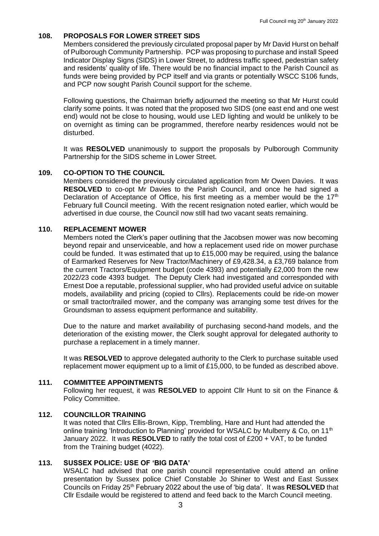#### **108. PROPOSALS FOR LOWER STREET SIDS**

Members considered the previously circulated proposal paper by Mr David Hurst on behalf of Pulborough Community Partnership. PCP was proposing to purchase and install Speed Indicator Display Signs (SIDS) in Lower Street, to address traffic speed, pedestrian safety and residents' quality of life. There would be no financial impact to the Parish Council as funds were being provided by PCP itself and via grants or potentially WSCC S106 funds, and PCP now sought Parish Council support for the scheme.

Following questions, the Chairman briefly adjourned the meeting so that Mr Hurst could clarify some points. It was noted that the proposed two SIDS (one east end and one west end) would not be close to housing, would use LED lighting and would be unlikely to be on overnight as timing can be programmed, therefore nearby residences would not be disturbed.

It was **RESOLVED** unanimously to support the proposals by Pulborough Community Partnership for the SIDS scheme in Lower Street.

#### **109. CO-OPTION TO THE COUNCIL**

Members considered the previously circulated application from Mr Owen Davies. It was **RESOLVED** to co-opt Mr Davies to the Parish Council, and once he had signed a Declaration of Acceptance of Office, his first meeting as a member would be the  $17<sup>th</sup>$ February full Council meeting. With the recent resignation noted earlier, which would be advertised in due course, the Council now still had two vacant seats remaining.

#### **110. REPLACEMENT MOWER**

Members noted the Clerk's paper outlining that the Jacobsen mower was now becoming beyond repair and unserviceable, and how a replacement used ride on mower purchase could be funded. It was estimated that up to  $£15,000$  may be required, using the balance of Earmarked Reserves for New Tractor/Machinery of £9,428.34, a £3,769 balance from the current Tractors/Equipment budget (code 4393) and potentially £2,000 from the new 2022/23 code 4393 budget. The Deputy Clerk had investigated and corresponded with Ernest Doe a reputable, professional supplier, who had provided useful advice on suitable models, availability and pricing (copied to Cllrs). Replacements could be ride-on mower or small tractor/trailed mower, and the company was arranging some test drives for the Groundsman to assess equipment performance and suitability.

Due to the nature and market availability of purchasing second-hand models, and the deterioration of the existing mower, the Clerk sought approval for delegated authority to purchase a replacement in a timely manner.

It was **RESOLVED** to approve delegated authority to the Clerk to purchase suitable used replacement mower equipment up to a limit of £15,000, to be funded as described above.

#### **111. COMMITTEE APPOINTMENTS**

Following her request, it was **RESOLVED** to appoint Cllr Hunt to sit on the Finance & Policy Committee.

#### **112. COUNCILLOR TRAINING**

It was noted that Cllrs Ellis-Brown, Kipp, Trembling, Hare and Hunt had attended the online training 'Introduction to Planning' provided for WSALC by Mulberry & Co, on 11<sup>th</sup> January 2022. It was **RESOLVED** to ratify the total cost of £200 + VAT, to be funded from the Training budget (4022).

#### **113. SUSSEX POLICE: USE OF 'BIG DATA'**

WSALC had advised that one parish council representative could attend an online presentation by Sussex police Chief Constable Jo Shiner to West and East Sussex Councils on Friday 25th February 2022 about the use of 'big data'. It was **RESOLVED** that Cllr Esdaile would be registered to attend and feed back to the March Council meeting.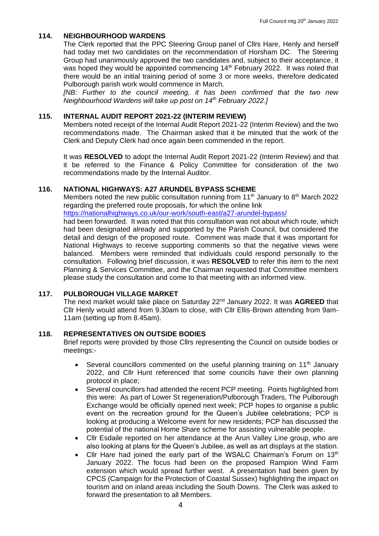## **114. NEIGHBOURHOOD WARDENS**

The Clerk reported that the PPC Steering Group panel of Cllrs Hare, Henly and herself had today met two candidates on the recommendation of Horsham DC. The Steering Group had unanimously approved the two candidates and, subject to their acceptance, it was hoped they would be appointed commencing 14<sup>th</sup> February 2022. It was noted that there would be an initial training period of some 3 or more weeks, therefore dedicated Pulborough parish work would commence in March.

*[NB: Further to the council meeting, it has been confirmed that the two new Neighbourhood Wardens will take up post on 14th February 2022.]*

## **115. INTERNAL AUDIT REPORT 2021-22 (INTERIM REVIEW)**

Members noted receipt of the Internal Audit Report 2021-22 (Interim Review) and the two recommendations made. The Chairman asked that it be minuted that the work of the Clerk and Deputy Clerk had once again been commended in the report.

It was **RESOLVED** to adopt the Internal Audit Report 2021-22 (Interim Review) and that it be referred to the Finance & Policy Committee for consideration of the two recommendations made by the Internal Auditor.

## **116. NATIONAL HIGHWAYS: A27 ARUNDEL BYPASS SCHEME**

Members noted the new public consultation running from  $11<sup>th</sup>$  January to  $8<sup>th</sup>$  March 2022 regarding the preferred route proposals, for which the online link

<https://nationalhighways.co.uk/our-work/south-east/a27-arundel-bypass/>

had been forwarded. It was noted that this consultation was not about which route, which had been designated already and supported by the Parish Council, but considered the detail and design of the proposed route. Comment was made that it was important for National Highways to receive supporting comments so that the negative views were balanced. Members were reminded that individuals could respond personally to the consultation. Following brief discussion, it was **RESOLVED** to refer this item to the next Planning & Services Committee, and the Chairman requested that Committee members please study the consultation and come to that meeting with an informed view.

## **117. PULBOROUGH VILLAGE MARKET**

The next market would take place on Saturday 22nd January 2022. It was **AGREED** that Cllr Henly would attend from 9.30am to close, with Cllr Ellis-Brown attending from 9am-11am (setting up from 8.45am).

#### **118. REPRESENTATIVES ON OUTSIDE BODIES**

Brief reports were provided by those Cllrs representing the Council on outside bodies or meetings:-

- Several councillors commented on the useful planning training on  $11<sup>th</sup>$  January 2022, and Cllr Hunt referenced that some councils have their own planning protocol in place;
- Several councillors had attended the recent PCP meeting. Points highlighted from this were: As part of Lower St regeneration/Pulborough Traders, The Pulborough Exchange would be officially opened next week; PCP hopes to organise a public event on the recreation ground for the Queen's Jubilee celebrations; PCP is looking at producing a Welcome event for new residents; PCP has discussed the potential of the national Home Share scheme for assisting vulnerable people.
- Cllr Esdaile reported on her attendance at the Arun Valley Line group, who are also looking at plans for the Queen's Jubilee, as well as art displays at the station.
- Cllr Hare had joined the early part of the WSALC Chairman's Forum on  $13<sup>th</sup>$ January 2022. The focus had been on the proposed Rampion Wind Farm extension which would spread further west. A presentation had been given by CPCS (Campaign for the Protection of Coastal Sussex) highlighting the impact on tourism and on inland areas including the South Downs. The Clerk was asked to forward the presentation to all Members.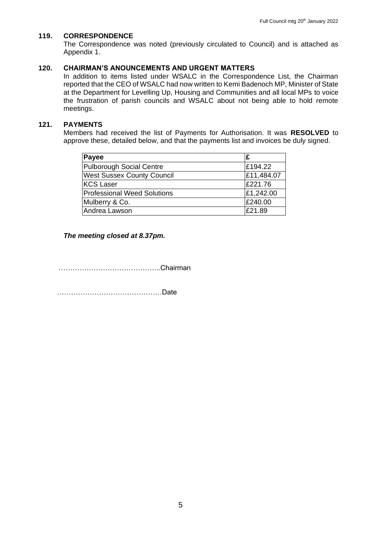#### **119. CORRESPONDENCE**

The Correspondence was noted (previously circulated to Council) and is attached as Appendix 1.

#### **120. CHAIRMAN'S ANOUNCEMENTS AND URGENT MATTERS**

In addition to items listed under WSALC in the Correspondence List, the Chairman reported that the CEO of WSALC had now written to Kemi Badenoch MP, Minister of State at the Department for Levelling Up, Housing and Communities and all local MPs to voice the frustration of parish councils and WSALC about not being able to hold remote meetings.

## **121. PAYMENTS**

Members had received the list of Payments for Authorisation. It was **RESOLVED** to approve these, detailed below, and that the payments list and invoices be duly signed.

| <b>Payee</b>                       | £          |
|------------------------------------|------------|
| <b>Pulborough Social Centre</b>    | £194.22    |
| <b>West Sussex County Council</b>  | £11,484.07 |
| KCS Laser                          | £221.76    |
| <b>Professional Weed Solutions</b> | £1,242.00  |
| Mulberry & Co.                     | £240.00    |
| Andrea Lawson                      | £21.89     |

*The meeting closed at 8.37pm.*

……………………………………..Chairman

………………………………………Date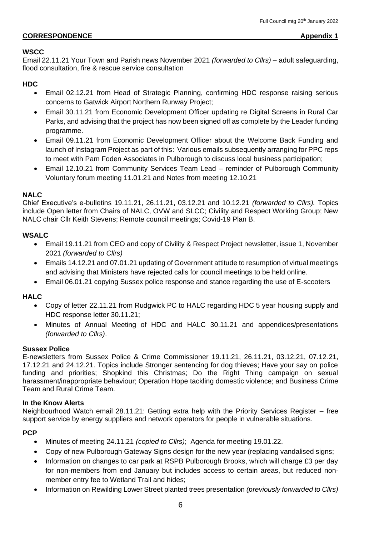# **CORRESPONDENCE** Appendix 1

# **WSCC**

Email 22.11.21 Your Town and Parish news November 2021 *(forwarded to Cllrs)* – adult safeguarding, flood consultation, fire & rescue service consultation

# **HDC**

- Email 02.12.21 from Head of Strategic Planning, confirming HDC response raising serious concerns to Gatwick Airport Northern Runway Project;
- Email 30.11.21 from Economic Development Officer updating re Digital Screens in Rural Car Parks, and advising that the project has now been signed off as complete by the Leader funding programme.
- Email 09.11.21 from Economic Development Officer about the Welcome Back Funding and launch of Instagram Project as part of this: Various emails subsequently arranging for PPC reps to meet with Pam Foden Associates in Pulborough to discuss local business participation;
- Email 12.10.21 from Community Services Team Lead reminder of Pulborough Community Voluntary forum meeting 11.01.21 and Notes from meeting 12.10.21

# **NALC**

Chief Executive's e-bulletins 19.11.21, 26.11.21, 03.12.21 and 10.12.21 *(forwarded to Cllrs).* Topics include Open letter from Chairs of NALC, OVW and SLCC; Civility and Respect Working Group; New NALC chair Cllr Keith Stevens; Remote council meetings; Covid-19 Plan B.

# **WSALC**

- Email 19.11.21 from CEO and copy of Civility & Respect Project newsletter, issue 1, November 2021 *(forwarded to Cllrs)*
- Emails 14.12.21 and 07.01.21 updating of Government attitude to resumption of virtual meetings and advising that Ministers have rejected calls for council meetings to be held online.
- Email 06.01.21 copying Sussex police response and stance regarding the use of E-scooters

# **HALC**

- Copy of letter 22.11.21 from Rudgwick PC to HALC regarding HDC 5 year housing supply and HDC response letter 30.11.21;
- Minutes of Annual Meeting of HDC and HALC 30.11.21 and appendices/presentations *(forwarded to Cllrs)*.

## **Sussex Police**

E-newsletters from Sussex Police & Crime Commissioner 19.11.21, 26.11.21, 03.12.21, 07.12.21, 17.12.21 and 24.12.21. Topics include Stronger sentencing for dog thieves; Have your say on police funding and priorities; Shopkind this Christmas; Do the Right Thing campaign on sexual harassment/inappropriate behaviour; Operation Hope tackling domestic violence; and Business Crime Team and Rural Crime Team.

## **In the Know Alerts**

Neighbourhood Watch email 28.11.21: Getting extra help with the Priority Services Register – free support service by energy suppliers and network operators for people in vulnerable situations.

# **PCP**

- Minutes of meeting 24.11.21 *(copied to Cllrs)*; Agenda for meeting 19.01.22.
- Copy of new Pulborough Gateway Signs design for the new year (replacing vandalised signs;
- Information on changes to car park at RSPB Pulborough Brooks, which will charge £3 per day for non-members from end January but includes access to certain areas, but reduced nonmember entry fee to Wetland Trail and hides;
- Information on Rewilding Lower Street planted trees presentation *(previously forwarded to Cllrs)*